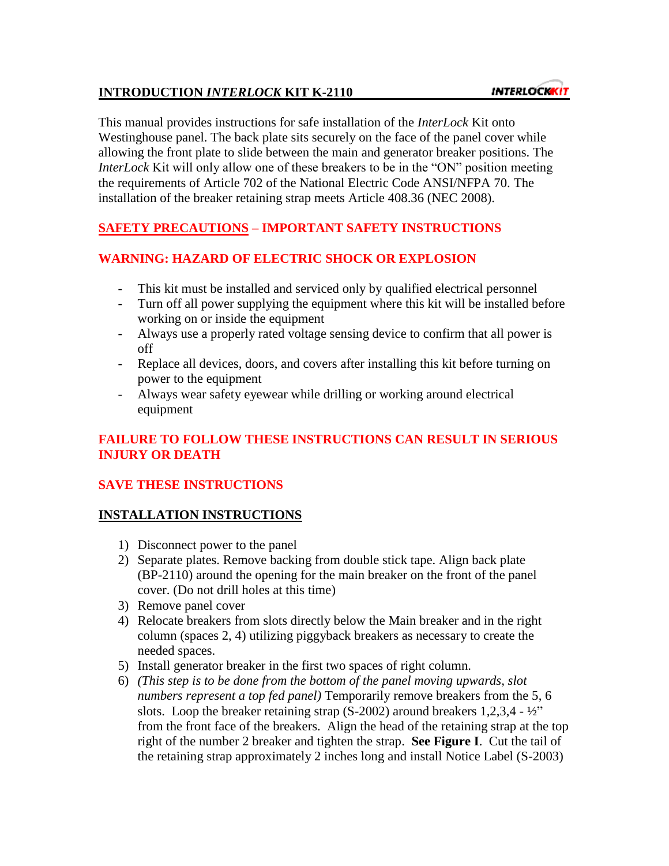#### **INTRODUCTION** *INTERLOCK* **KIT K-2110**

This manual provides instructions for safe installation of the *InterLock* Kit onto Westinghouse panel. The back plate sits securely on the face of the panel cover while allowing the front plate to slide between the main and generator breaker positions. The *InterLock* Kit will only allow one of these breakers to be in the "ON" position meeting the requirements of Article 702 of the National Electric Code ANSI/NFPA 70. The installation of the breaker retaining strap meets Article 408.36 (NEC 2008).

# **SAFETY PRECAUTIONS – IMPORTANT SAFETY INSTRUCTIONS**

### **WARNING: HAZARD OF ELECTRIC SHOCK OR EXPLOSION**

- This kit must be installed and serviced only by qualified electrical personnel
- Turn off all power supplying the equipment where this kit will be installed before working on or inside the equipment
- Always use a properly rated voltage sensing device to confirm that all power is off
- Replace all devices, doors, and covers after installing this kit before turning on power to the equipment
- Always wear safety eyewear while drilling or working around electrical equipment

### **FAILURE TO FOLLOW THESE INSTRUCTIONS CAN RESULT IN SERIOUS INJURY OR DEATH**

### **SAVE THESE INSTRUCTIONS**

### **INSTALLATION INSTRUCTIONS**

- 1) Disconnect power to the panel
- 2) Separate plates. Remove backing from double stick tape. Align back plate (BP-2110) around the opening for the main breaker on the front of the panel cover. (Do not drill holes at this time)
- 3) Remove panel cover
- 4) Relocate breakers from slots directly below the Main breaker and in the right column (spaces 2, 4) utilizing piggyback breakers as necessary to create the needed spaces.
- 5) Install generator breaker in the first two spaces of right column.
- 6) *(This step is to be done from the bottom of the panel moving upwards, slot numbers represent a top fed panel)* Temporarily remove breakers from the 5, 6 slots. Loop the breaker retaining strap  $(S-2002)$  around breakers 1,2,3,4 -  $\frac{1}{2}$ " from the front face of the breakers. Align the head of the retaining strap at the top right of the number 2 breaker and tighten the strap. **See Figure I**. Cut the tail of the retaining strap approximately 2 inches long and install Notice Label (S-2003)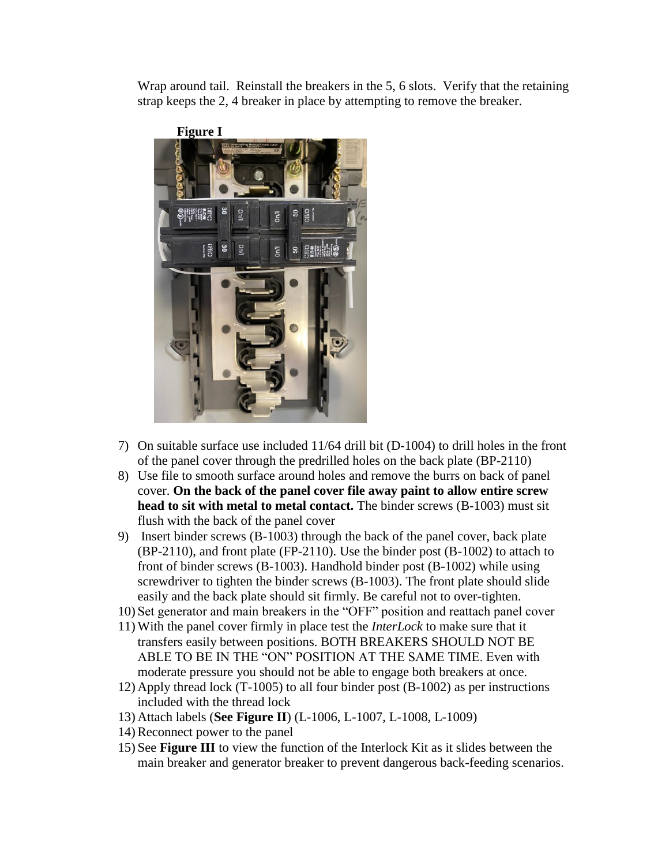Wrap around tail. Reinstall the breakers in the 5, 6 slots. Verify that the retaining strap keeps the 2, 4 breaker in place by attempting to remove the breaker.



- 7) On suitable surface use included 11/64 drill bit (D-1004) to drill holes in the front of the panel cover through the predrilled holes on the back plate (BP-2110)
- 8) Use file to smooth surface around holes and remove the burrs on back of panel cover. **On the back of the panel cover file away paint to allow entire screw head to sit with metal to metal contact.** The binder screws (B-1003) must sit flush with the back of the panel cover
- 9) Insert binder screws (B-1003) through the back of the panel cover, back plate (BP-2110), and front plate (FP-2110). Use the binder post (B-1002) to attach to front of binder screws (B-1003). Handhold binder post (B-1002) while using screwdriver to tighten the binder screws (B-1003). The front plate should slide easily and the back plate should sit firmly. Be careful not to over-tighten.
- 10) Set generator and main breakers in the "OFF" position and reattach panel cover
- 11) With the panel cover firmly in place test the *InterLock* to make sure that it transfers easily between positions. BOTH BREAKERS SHOULD NOT BE ABLE TO BE IN THE "ON" POSITION AT THE SAME TIME. Even with moderate pressure you should not be able to engage both breakers at once.
- 12) Apply thread lock (T-1005) to all four binder post (B-1002) as per instructions included with the thread lock
- 13) Attach labels (**See Figure II**) (L-1006, L-1007, L-1008, L-1009)
- 14) Reconnect power to the panel
- 15) See **Figure III** to view the function of the Interlock Kit as it slides between the main breaker and generator breaker to prevent dangerous back-feeding scenarios.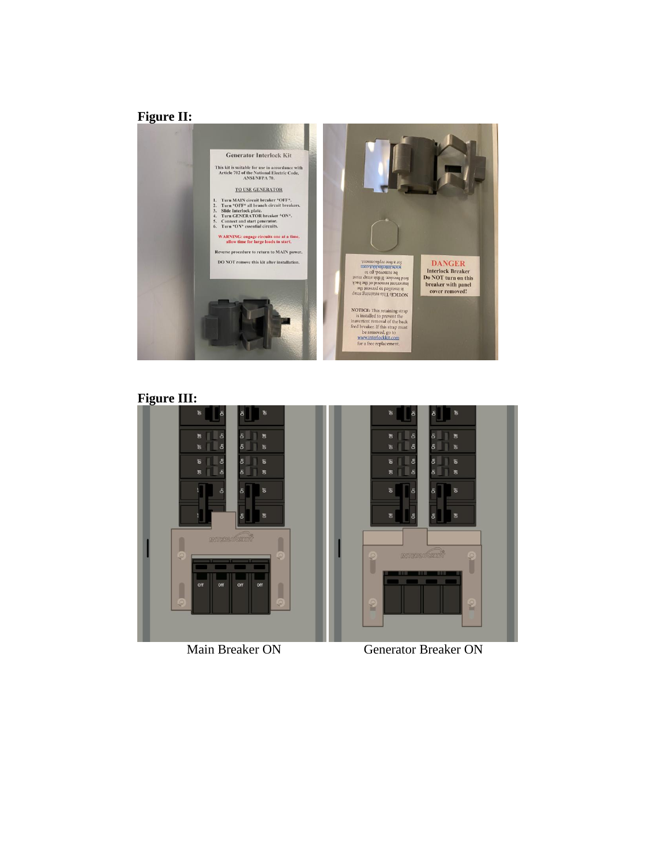## **Figure II:**



#### **Figure III:**



Main Breaker ON Generator Breaker ON